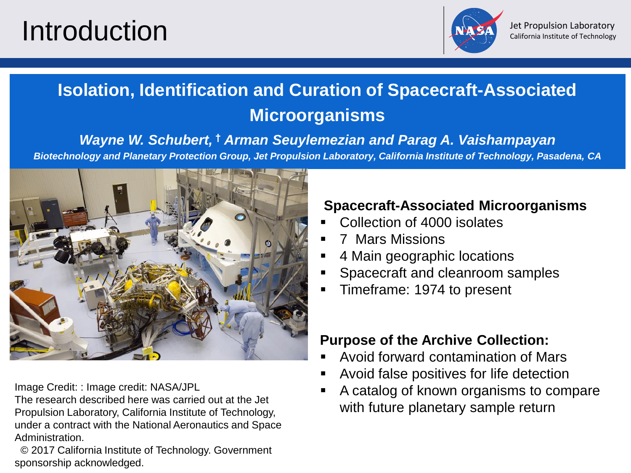# Introduction



# **Isolation, Identification and Curation of Spacecraft-Associated Microorganisms**

*Wayne W. Schubert,* **†** *Arman Seuylemezian and Parag A. Vaishampayan* 

*Biotechnology and Planetary Protection Group, Jet Propulsion Laboratory, California Institute of Technology, Pasadena, CA*



Image Credit: : Image credit: NASA/JPL

The research described here was carried out at the Jet Propulsion Laboratory, California Institute of Technology, under a contract with the National Aeronautics and Space Administration.

© 2017 California Institute of Technology. Government sponsorship acknowledged.

### **Spacecraft-Associated Microorganisms**

- Collection of 4000 isolates
- **7 Mars Missions**
- 4 Main geographic locations
- Spacecraft and cleanroom samples
- Timeframe: 1974 to present

### **Purpose of the Archive Collection:**

- Avoid forward contamination of Mars
- Avoid false positives for life detection
- A catalog of known organisms to compare with future planetary sample return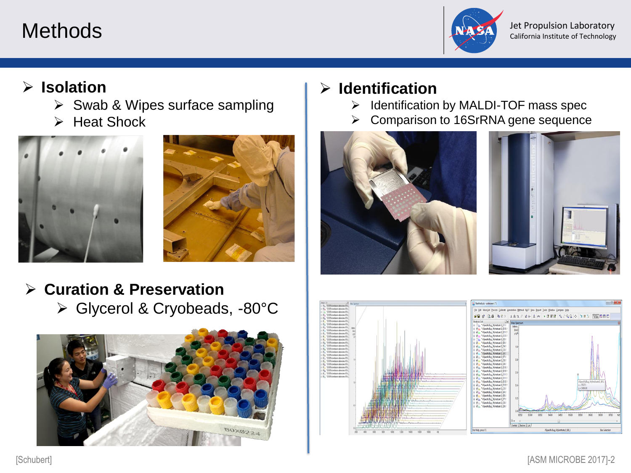

Methods **Methods** and the set of Technology of Text Propulsion Laboratory California Institute of Technology

## ➢ **Isolation**

- ➢ Swab & Wipes surface sampling
- ➢ Heat Shock





## ➢ **Curation & Preservation** ➢ Glycerol & Cryobeads, -80°C



# ➢ **Identification**

- ➢ Identification by MALDI-TOF mass spec
- ➢ Comparison to 16SrRNA gene sequence







[Schubert] [ASM MICROBE 2017]-2